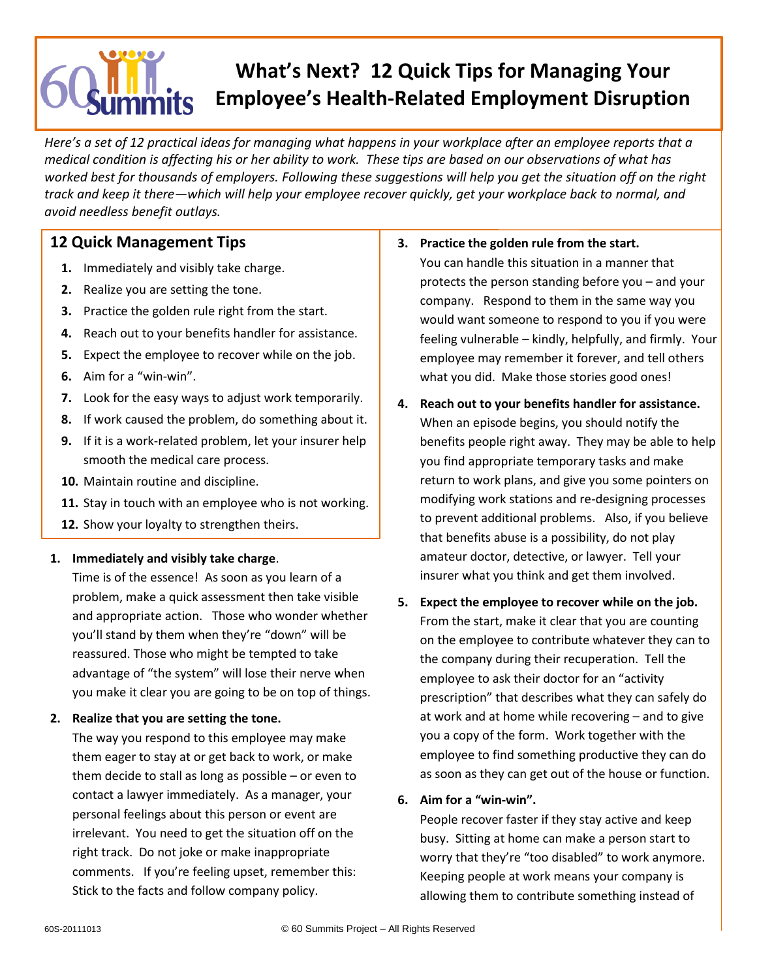# **What's Next? 12 Quick Tips for Managing Your Employee's Health-Related Employment Disruption**

*Here's a set of 12 practical ideas for managing what happens in your workplace after an employee reports that a medical condition is affecting his or her ability to work. These tips are based on our observations of what has worked best for thousands of employers. Following these suggestions will help you get the situation off on the right track and keep it there—which will help your employee recover quickly, get your workplace back to normal, and avoid needless benefit outlays.*

# **12 Quick Management Tips**

- **1.** Immediately and visibly take charge.
- **2.** Realize you are setting the tone.
- **3.** Practice the golden rule right from the start.
- **4.** Reach out to your benefits handler for assistance.
- **5.** Expect the employee to recover while on the job.
- **6.** Aim for a "win-win".
- **7.** Look for the easy ways to adjust work temporarily.
- **8.** If work caused the problem, do something about it.
- **9.** If it is a work-related problem, let your insurer help smooth the medical care process.
- **10.** Maintain routine and discipline.
- **11.** Stay in touch with an employee who is not working.
- **12.** Show your loyalty to strengthen theirs.

# **1. Immediately and visibly take charge**.

Time is of the essence! As soon as you learn of a problem, make a quick assessment then take visible and appropriate action. Those who wonder whether you'll stand by them when they're "down" will be reassured. Those who might be tempted to take advantage of "the system" will lose their nerve when you make it clear you are going to be on top of things.

# **2. Realize that you are setting the tone.**

The way you respond to this employee may make them eager to stay at or get back to work, or make them decide to stall as long as possible – or even to contact a lawyer immediately. As a manager, your personal feelings about this person or event are irrelevant. You need to get the situation off on the right track. Do not joke or make inappropriate comments. If you're feeling upset, remember this: Stick to the facts and follow company policy.

- **3. Practice the golden rule from the start.** You can handle this situation in a manner that protects the person standing before you – and your company. Respond to them in the same way you would want someone to respond to you if you were feeling vulnerable – kindly, helpfully, and firmly. Your employee may remember it forever, and tell others what you did. Make those stories good ones!
- **4. Reach out to your benefits handler for assistance.**  When an episode begins, you should notify the benefits people right away. They may be able to help you find appropriate temporary tasks and make return to work plans, and give you some pointers on modifying work stations and re-designing processes to prevent additional problems. Also, if you believe that benefits abuse is a possibility, do not play amateur doctor, detective, or lawyer. Tell your insurer what you think and get them involved.
- **5. Expect the employee to recover while on the job.** From the start, make it clear that you are counting on the employee to contribute whatever they can to the company during their recuperation. Tell the employee to ask their doctor for an "activity prescription" that describes what they can safely do at work and at home while recovering – and to give you a copy of the form. Work together with the employee to find something productive they can do as soon as they can get out of the house or function.

# **6. Aim for a "win-win".**

People recover faster if they stay active and keep busy. Sitting at home can make a person start to worry that they're "too disabled" to work anymore. Keeping people at work means your company is allowing them to contribute something instead of